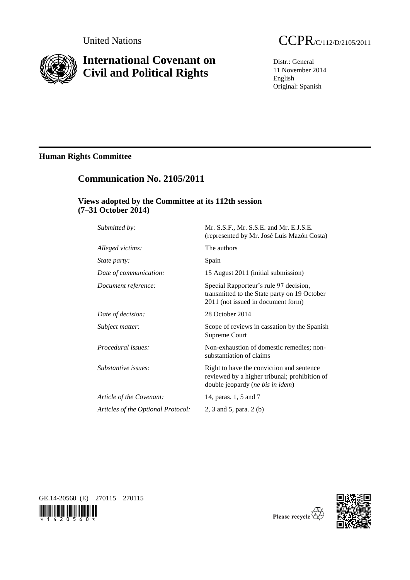

# **International Covenant on Civil and Political Rights**



Distr.: General 11 November 2014 English Original: Spanish

# **Human Rights Committee**

# **Communication No. 2105/2011**

## **Views adopted by the Committee at its 112th session (7–31 October 2014)**

| Submitted by:                      | Mr. S.S.F., Mr. S.S.E. and Mr. E.J.S.E.<br>(represented by Mr. José Luis Mazón Costa)                                          |
|------------------------------------|--------------------------------------------------------------------------------------------------------------------------------|
| Alleged victims:                   | The authors                                                                                                                    |
| State party:                       | Spain                                                                                                                          |
| Date of communication:             | 15 August 2011 (initial submission)                                                                                            |
| Document reference:                | Special Rapporteur's rule 97 decision,<br>transmitted to the State party on 19 October<br>2011 (not issued in document form)   |
| Date of decision:                  | 28 October 2014                                                                                                                |
| Subject matter:                    | Scope of reviews in cassation by the Spanish<br>Supreme Court                                                                  |
| Procedural issues:                 | Non-exhaustion of domestic remedies; non-<br>substantiation of claims                                                          |
| Substantive issues:                | Right to have the conviction and sentence<br>reviewed by a higher tribunal; prohibition of<br>double jeopardy (ne bis in idem) |
| Article of the Covenant:           | 14, paras. 1, 5 and 7                                                                                                          |
| Articles of the Optional Protocol: | 2, 3 and 5, para. 2 (b)                                                                                                        |
|                                    |                                                                                                                                |







Please recycle  $\overleftrightarrow{G}$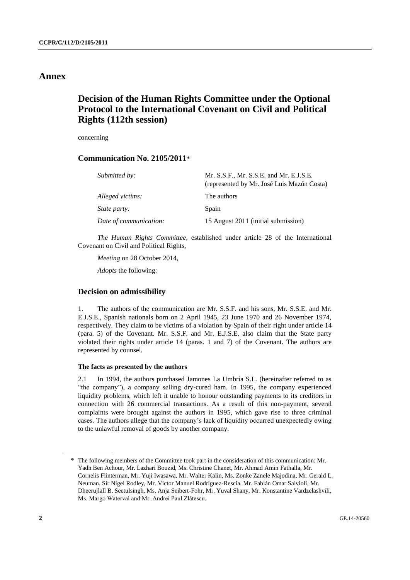### **Annex**

# **Decision of the Human Rights Committee under the Optional Protocol to the International Covenant on Civil and Political Rights (112th session)**

concerning

### **Communication No. 2105/2011**\*

| Submitted by:          | Mr. S.S.F., Mr. S.S.E. and Mr. E.J.S.E.<br>(represented by Mr. José Luis Mazón Costa) |
|------------------------|---------------------------------------------------------------------------------------|
| Alleged victims:       | The authors                                                                           |
| <i>State party:</i>    | Spain                                                                                 |
| Date of communication: | 15 August 2011 (initial submission)                                                   |

*The Human Rights Committee*, established under article 28 of the International Covenant on Civil and Political Rights,

*Meeting* on 28 October 2014,

*Adopts* the following:

### **Decision on admissibility**

1. The authors of the communication are Mr. S.S.F. and his sons, Mr. S.S.E. and Mr. E.J.S.E., Spanish nationals born on 2 April 1945, 23 June 1970 and 26 November 1974, respectively. They claim to be victims of a violation by Spain of their right under article 14 (para. 5) of the Covenant. Mr. S.S.F. and Mr. E.J.S.E. also claim that the State party violated their rights under article 14 (paras. 1 and 7) of the Covenant. The authors are represented by counsel.

#### **The facts as presented by the authors**

2.1 In 1994, the authors purchased Jamones La Umbría S.L. (hereinafter referred to as "the company"), a company selling dry-cured ham. In 1995, the company experienced liquidity problems, which left it unable to honour outstanding payments to its creditors in connection with 26 commercial transactions. As a result of this non-payment, several complaints were brought against the authors in 1995, which gave rise to three criminal cases. The authors allege that the company's lack of liquidity occurred unexpectedly owing to the unlawful removal of goods by another company.

<sup>\*</sup> The following members of the Committee took part in the consideration of this communication: Mr. Yadh Ben Achour, Mr. Lazhari Bouzid, Ms. Christine Chanet, Mr. Ahmad Amin Fathalla, Mr. Cornelis Flinterman, Mr. Yuji Iwasawa, Mr. Walter Kälin, Ms. Zonke Zanele Majodina, Mr. Gerald L. Neuman, Sir Nigel Rodley, Mr. Víctor Manuel Rodríguez-Rescia, Mr. Fabián Omar Salvioli, Mr. Dheerujlall B. Seetulsingh, Ms. Anja Seibert-Fohr, Mr. Yuval Shany, Mr. Konstantine Vardzelashvili, Ms. Margo Waterval and Mr. Andrei Paul Zlătescu.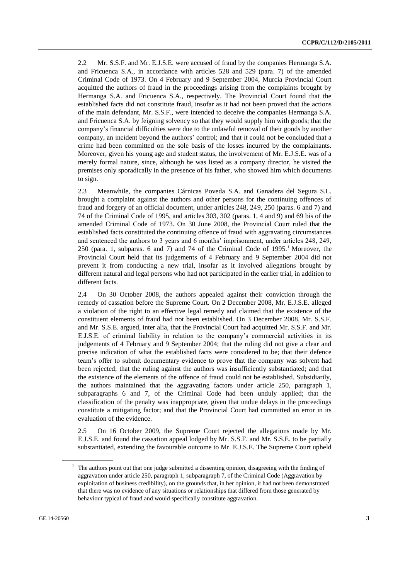2.2 Mr. S.S.F. and Mr. E.J.S.E. were accused of fraud by the companies Hermanga S.A. and Fricuenca S.A., in accordance with articles 528 and 529 (para. 7) of the amended Criminal Code of 1973. On 4 February and 9 September 2004, Murcia Provincial Court acquitted the authors of fraud in the proceedings arising from the complaints brought by Hermanga S.A. and Fricuenca S.A., respectively. The Provincial Court found that the established facts did not constitute fraud, insofar as it had not been proved that the actions of the main defendant, Mr. S.S.F., were intended to deceive the companies Hermanga S.A. and Fricuenca S.A. by feigning solvency so that they would supply him with goods; that the company's financial difficulties were due to the unlawful removal of their goods by another company, an incident beyond the authors' control; and that it could not be concluded that a crime had been committed on the sole basis of the losses incurred by the complainants. Moreover, given his young age and student status, the involvement of Mr. E.J.S.E. was of a merely formal nature, since, although he was listed as a company director, he visited the premises only sporadically in the presence of his father, who showed him which documents to sign.

2.3 Meanwhile, the companies Cárnicas Poveda S.A. and Ganadera del Segura S.L. brought a complaint against the authors and other persons for the continuing offences of fraud and forgery of an official document, under articles 248, 249, 250 (paras. 6 and 7) and 74 of the Criminal Code of 1995, and articles 303, 302 (paras. 1, 4 and 9) and 69 bis of the amended Criminal Code of 1973. On 30 June 2008, the Provincial Court ruled that the established facts constituted the continuing offence of fraud with aggravating circumstances and sentenced the authors to 3 years and 6 months' imprisonment, under articles 248, 249, 250 (para. 1, subparas. 6 and 7) and 74 of the Criminal Code of  $1995<sup>1</sup>$  Moreover, the Provincial Court held that its judgements of 4 February and 9 September 2004 did not prevent it from conducting a new trial, insofar as it involved allegations brought by different natural and legal persons who had not participated in the earlier trial, in addition to different facts.

2.4 On 30 October 2008, the authors appealed against their conviction through the remedy of cassation before the Supreme Court. On 2 December 2008, Mr. E.J.S.E. alleged a violation of the right to an effective legal remedy and claimed that the existence of the constituent elements of fraud had not been established. On 3 December 2008, Mr. S.S.F. and Mr. S.S.E. argued, inter alia, that the Provincial Court had acquitted Mr. S.S.F. and Mr. E.J.S.E. of criminal liability in relation to the company's commercial activities in its judgements of 4 February and 9 September 2004; that the ruling did not give a clear and precise indication of what the established facts were considered to be; that their defence team's offer to submit documentary evidence to prove that the company was solvent had been rejected; that the ruling against the authors was insufficiently substantiated; and that the existence of the elements of the offence of fraud could not be established. Subsidiarily, the authors maintained that the aggravating factors under article 250, paragraph 1, subparagraphs 6 and 7, of the Criminal Code had been unduly applied; that the classification of the penalty was inappropriate, given that undue delays in the proceedings constitute a mitigating factor; and that the Provincial Court had committed an error in its evaluation of the evidence.

2.5 On 16 October 2009, the Supreme Court rejected the allegations made by Mr. E.J.S.E. and found the cassation appeal lodged by Mr. S.S.F. and Mr. S.S.E. to be partially substantiated, extending the favourable outcome to Mr. E.J.S.E. The Supreme Court upheld

 $1$  The authors point out that one judge submitted a dissenting opinion, disagreeing with the finding of aggravation under article 250, paragraph 1, subparagraph 7, of the Criminal Code (Aggravation by exploitation of business credibility), on the grounds that, in her opinion, it had not been demonstrated that there was no evidence of any situations or relationships that differed from those generated by behaviour typical of fraud and would specifically constitute aggravation.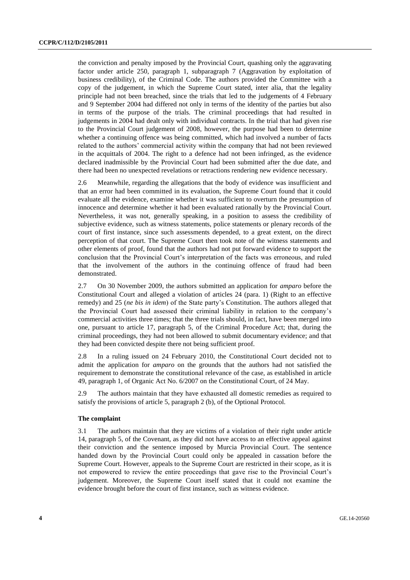the conviction and penalty imposed by the Provincial Court, quashing only the aggravating factor under article 250, paragraph 1, subparagraph 7 (Aggravation by exploitation of business credibility), of the Criminal Code. The authors provided the Committee with a copy of the judgement, in which the Supreme Court stated, inter alia, that the legality principle had not been breached, since the trials that led to the judgements of 4 February and 9 September 2004 had differed not only in terms of the identity of the parties but also in terms of the purpose of the trials. The criminal proceedings that had resulted in judgements in 2004 had dealt only with individual contracts. In the trial that had given rise to the Provincial Court judgement of 2008, however, the purpose had been to determine whether a continuing offence was being committed, which had involved a number of facts related to the authors' commercial activity within the company that had not been reviewed in the acquittals of 2004. The right to a defence had not been infringed, as the evidence declared inadmissible by the Provincial Court had been submitted after the due date, and there had been no unexpected revelations or retractions rendering new evidence necessary.

2.6 Meanwhile, regarding the allegations that the body of evidence was insufficient and that an error had been committed in its evaluation, the Supreme Court found that it could evaluate all the evidence, examine whether it was sufficient to overturn the presumption of innocence and determine whether it had been evaluated rationally by the Provincial Court. Nevertheless, it was not, generally speaking, in a position to assess the credibility of subjective evidence, such as witness statements, police statements or plenary records of the court of first instance, since such assessments depended, to a great extent, on the direct perception of that court. The Supreme Court then took note of the witness statements and other elements of proof, found that the authors had not put forward evidence to support the conclusion that the Provincial Court's interpretation of the facts was erroneous, and ruled that the involvement of the authors in the continuing offence of fraud had been demonstrated.

2.7 On 30 November 2009, the authors submitted an application for *amparo* before the Constitutional Court and alleged a violation of articles 24 (para. 1) (Right to an effective remedy) and 25 (*ne bis in idem*) of the State party's Constitution. The authors alleged that the Provincial Court had assessed their criminal liability in relation to the company's commercial activities three times; that the three trials should, in fact, have been merged into one, pursuant to article 17, paragraph 5, of the Criminal Procedure Act; that, during the criminal proceedings, they had not been allowed to submit documentary evidence; and that they had been convicted despite there not being sufficient proof.

2.8 In a ruling issued on 24 February 2010, the Constitutional Court decided not to admit the application for *amparo* on the grounds that the authors had not satisfied the requirement to demonstrate the constitutional relevance of the case, as established in article 49, paragraph 1, of Organic Act No. 6/2007 on the Constitutional Court, of 24 May.

2.9 The authors maintain that they have exhausted all domestic remedies as required to satisfy the provisions of article 5, paragraph 2 (b), of the Optional Protocol.

#### **The complaint**

3.1 The authors maintain that they are victims of a violation of their right under article 14, paragraph 5, of the Covenant, as they did not have access to an effective appeal against their conviction and the sentence imposed by Murcia Provincial Court. The sentence handed down by the Provincial Court could only be appealed in cassation before the Supreme Court. However, appeals to the Supreme Court are restricted in their scope, as it is not empowered to review the entire proceedings that gave rise to the Provincial Court's judgement. Moreover, the Supreme Court itself stated that it could not examine the evidence brought before the court of first instance, such as witness evidence.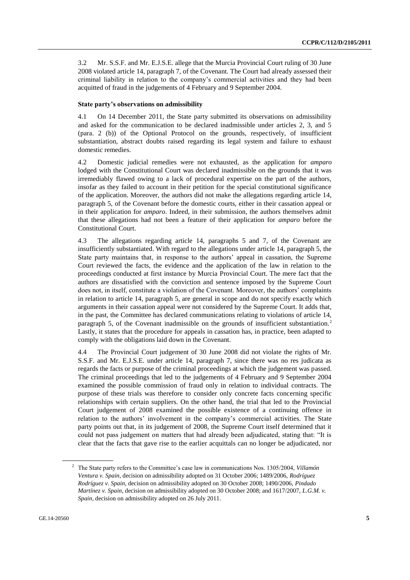3.2 Mr. S.S.F. and Mr. E.J.S.E. allege that the Murcia Provincial Court ruling of 30 June 2008 violated article 14, paragraph 7, of the Covenant. The Court had already assessed their criminal liability in relation to the company's commercial activities and they had been acquitted of fraud in the judgements of 4 February and 9 September 2004.

#### **State party's observations on admissibility**

4.1 On 14 December 2011, the State party submitted its observations on admissibility and asked for the communication to be declared inadmissible under articles 2, 3, and 5 (para. 2 (b)) of the Optional Protocol on the grounds, respectively, of insufficient substantiation, abstract doubts raised regarding its legal system and failure to exhaust domestic remedies.

4.2 Domestic judicial remedies were not exhausted, as the application for *amparo* lodged with the Constitutional Court was declared inadmissible on the grounds that it was irremediably flawed owing to a lack of procedural expertise on the part of the authors, insofar as they failed to account in their petition for the special constitutional significance of the application. Moreover, the authors did not make the allegations regarding article 14, paragraph 5, of the Covenant before the domestic courts, either in their cassation appeal or in their application for *amparo*. Indeed, in their submission, the authors themselves admit that these allegations had not been a feature of their application for *amparo* before the Constitutional Court.

4.3 The allegations regarding article 14, paragraphs 5 and 7, of the Covenant are insufficiently substantiated. With regard to the allegations under article 14, paragraph 5, the State party maintains that, in response to the authors' appeal in cassation, the Supreme Court reviewed the facts, the evidence and the application of the law in relation to the proceedings conducted at first instance by Murcia Provincial Court. The mere fact that the authors are dissatisfied with the conviction and sentence imposed by the Supreme Court does not, in itself, constitute a violation of the Covenant. Moreover, the authors' complaints in relation to article 14, paragraph 5, are general in scope and do not specify exactly which arguments in their cassation appeal were not considered by the Supreme Court. It adds that, in the past, the Committee has declared communications relating to violations of article 14, paragraph 5, of the Covenant inadmissible on the grounds of insufficient substantiation.<sup>2</sup> Lastly, it states that the procedure for appeals in cassation has, in practice, been adapted to comply with the obligations laid down in the Covenant.

4.4 The Provincial Court judgement of 30 June 2008 did not violate the rights of Mr. S.S.F. and Mr. E.J.S.E. under article 14, paragraph 7, since there was no res judicata as regards the facts or purpose of the criminal proceedings at which the judgement was passed. The criminal proceedings that led to the judgements of 4 February and 9 September 2004 examined the possible commission of fraud only in relation to individual contracts. The purpose of these trials was therefore to consider only concrete facts concerning specific relationships with certain suppliers. On the other hand, the trial that led to the Provincial Court judgement of 2008 examined the possible existence of a continuing offence in relation to the authors' involvement in the company's commercial activities. The State party points out that, in its judgement of 2008, the Supreme Court itself determined that it could not pass judgement on matters that had already been adjudicated, stating that: "It is clear that the facts that gave rise to the earlier acquittals can no longer be adjudicated, nor

<sup>2</sup> The State party refers to the Committee's case law in communications Nos. 1305/2004, *Villamón Ventura v. Spain*, decision on admissibility adopted on 31 October 2006; 1489/2006, *Rodríguez Rodríguez v. Spain*, decision on admissibility adopted on 30 October 2008; 1490/2006, *Pindado Martínez v. Spain*, decision on admissibility adopted on 30 October 2008; and 1617/2007, *L.G.M. v. Spain*, decision on admissibility adopted on 26 July 2011.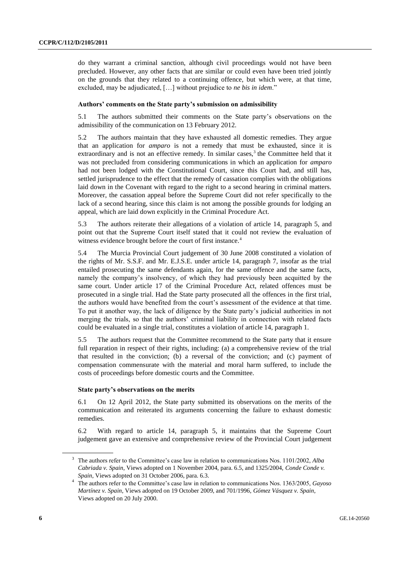do they warrant a criminal sanction, although civil proceedings would not have been precluded. However, any other facts that are similar or could even have been tried jointly on the grounds that they related to a continuing offence, but which were, at that time, excluded, may be adjudicated, […] without prejudice to *ne bis in idem*."

#### **Authors' comments on the State party's submission on admissibility**

5.1 The authors submitted their comments on the State party's observations on the admissibility of the communication on 13 February 2012.

5.2 The authors maintain that they have exhausted all domestic remedies. They argue that an application for *amparo* is not a remedy that must be exhausted, since it is extraordinary and is not an effective remedy. In similar cases,<sup>3</sup> the Committee held that it was not precluded from considering communications in which an application for *amparo* had not been lodged with the Constitutional Court, since this Court had, and still has, settled jurisprudence to the effect that the remedy of cassation complies with the obligations laid down in the Covenant with regard to the right to a second hearing in criminal matters. Moreover, the cassation appeal before the Supreme Court did not refer specifically to the lack of a second hearing, since this claim is not among the possible grounds for lodging an appeal, which are laid down explicitly in the Criminal Procedure Act.

5.3 The authors reiterate their allegations of a violation of article 14, paragraph 5, and point out that the Supreme Court itself stated that it could not review the evaluation of witness evidence brought before the court of first instance.<sup>4</sup>

5.4 The Murcia Provincial Court judgement of 30 June 2008 constituted a violation of the rights of Mr. S.S.F. and Mr. E.J.S.E. under article 14, paragraph 7, insofar as the trial entailed prosecuting the same defendants again, for the same offence and the same facts, namely the company's insolvency, of which they had previously been acquitted by the same court. Under article 17 of the Criminal Procedure Act, related offences must be prosecuted in a single trial. Had the State party prosecuted all the offences in the first trial, the authors would have benefited from the court's assessment of the evidence at that time. To put it another way, the lack of diligence by the State party's judicial authorities in not merging the trials, so that the authors' criminal liability in connection with related facts could be evaluated in a single trial, constitutes a violation of article 14, paragraph 1.

5.5 The authors request that the Committee recommend to the State party that it ensure full reparation in respect of their rights, including: (a) a comprehensive review of the trial that resulted in the conviction; (b) a reversal of the conviction; and (c) payment of compensation commensurate with the material and moral harm suffered, to include the costs of proceedings before domestic courts and the Committee.

#### **State party's observations on the merits**

6.1 On 12 April 2012, the State party submitted its observations on the merits of the communication and reiterated its arguments concerning the failure to exhaust domestic remedies.

6.2 With regard to article 14, paragraph 5, it maintains that the Supreme Court judgement gave an extensive and comprehensive review of the Provincial Court judgement

<sup>3</sup> The authors refer to the Committee's case law in relation to communications Nos. 1101/2002, *Alba Cabriada v. Spain*, Views adopted on 1 November 2004, para. 6.5, and 1325/2004, *Conde Conde v. Spain*, Views adopted on 31 October 2006, para. 6.3.

<sup>4</sup> The authors refer to the Committee's case law in relation to communications Nos. 1363/2005, *Gayoso Martínez v. Spain*, Views adopted on 19 October 2009, and 701/1996, *Gómez Vásquez v. Spain*, Views adopted on 20 July 2000.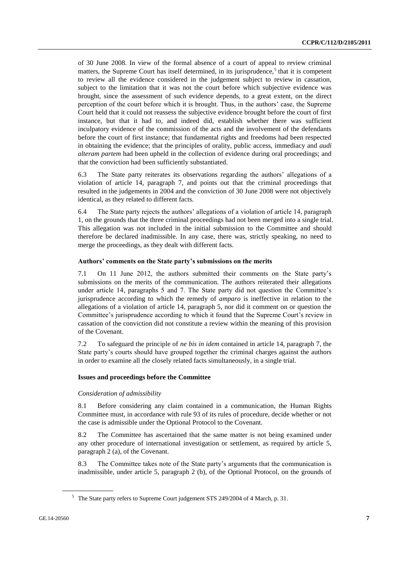of 30 June 2008. In view of the formal absence of a court of appeal to review criminal matters, the Supreme Court has itself determined, in its jurisprudence,<sup>5</sup> that it is competent to review all the evidence considered in the judgement subject to review in cassation, subject to the limitation that it was not the court before which subjective evidence was brought, since the assessment of such evidence depends, to a great extent, on the direct perception of the court before which it is brought. Thus, in the authors' case, the Supreme Court held that it could not reassess the subjective evidence brought before the court of first instance, but that it had to, and indeed did, establish whether there was sufficient inculpatory evidence of the commission of the acts and the involvement of the defendants before the court of first instance; that fundamental rights and freedoms had been respected in obtaining the evidence; that the principles of orality, public access, immediacy and *audi alteram partem* had been upheld in the collection of evidence during oral proceedings; and that the conviction had been sufficiently substantiated.

6.3 The State party reiterates its observations regarding the authors' allegations of a violation of article 14, paragraph 7, and points out that the criminal proceedings that resulted in the judgements in 2004 and the conviction of 30 June 2008 were not objectively identical, as they related to different facts.

6.4 The State party rejects the authors' allegations of a violation of article 14, paragraph 1, on the grounds that the three criminal proceedings had not been merged into a single trial. This allegation was not included in the initial submission to the Committee and should therefore be declared inadmissible. In any case, there was, strictly speaking, no need to merge the proceedings, as they dealt with different facts.

#### **Authors' comments on the State party's submissions on the merits**

7.1 On 11 June 2012, the authors submitted their comments on the State party's submissions on the merits of the communication. The authors reiterated their allegations under article 14, paragraphs 5 and 7. The State party did not question the Committee's jurisprudence according to which the remedy of *amparo* is ineffective in relation to the allegations of a violation of article 14, paragraph 5, nor did it comment on or question the Committee's jurisprudence according to which it found that the Supreme Court's review in cassation of the conviction did not constitute a review within the meaning of this provision of the Covenant.

7.2 To safeguard the principle of *ne bis in idem* contained in article 14, paragraph 7, the State party's courts should have grouped together the criminal charges against the authors in order to examine all the closely related facts simultaneously, in a single trial.

#### **Issues and proceedings before the Committee**

#### *Consideration of admissibility*

8.1 Before considering any claim contained in a communication, the Human Rights Committee must, in accordance with rule 93 of its rules of procedure, decide whether or not the case is admissible under the Optional Protocol to the Covenant.

8.2 The Committee has ascertained that the same matter is not being examined under any other procedure of international investigation or settlement, as required by article 5, paragraph 2 (a), of the Covenant.

8.3 The Committee takes note of the State party's arguments that the communication is inadmissible, under article 5, paragraph 2 (b), of the Optional Protocol, on the grounds of

<sup>5</sup> The State party refers to Supreme Court judgement STS 249/2004 of 4 March, p. 31.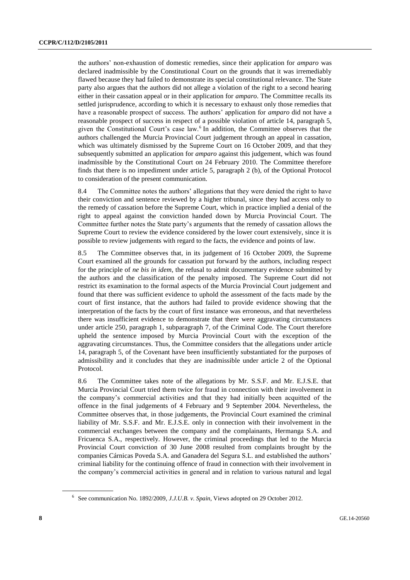the authors' non-exhaustion of domestic remedies, since their application for *amparo* was declared inadmissible by the Constitutional Court on the grounds that it was irremediably flawed because they had failed to demonstrate its special constitutional relevance. The State party also argues that the authors did not allege a violation of the right to a second hearing either in their cassation appeal or in their application for *amparo*. The Committee recalls its settled jurisprudence, according to which it is necessary to exhaust only those remedies that have a reasonable prospect of success. The authors' application for *amparo* did not have a reasonable prospect of success in respect of a possible violation of article 14, paragraph 5, given the Constitutional Court's case law.<sup>6</sup> In addition, the Committee observes that the authors challenged the Murcia Provincial Court judgement through an appeal in cassation, which was ultimately dismissed by the Supreme Court on 16 October 2009, and that they subsequently submitted an application for *amparo* against this judgement, which was found inadmissible by the Constitutional Court on 24 February 2010. The Committee therefore finds that there is no impediment under article 5, paragraph 2 (b), of the Optional Protocol to consideration of the present communication.

8.4 The Committee notes the authors' allegations that they were denied the right to have their conviction and sentence reviewed by a higher tribunal, since they had access only to the remedy of cassation before the Supreme Court, which in practice implied a denial of the right to appeal against the conviction handed down by Murcia Provincial Court. The Committee further notes the State party's arguments that the remedy of cassation allows the Supreme Court to review the evidence considered by the lower court extensively, since it is possible to review judgements with regard to the facts, the evidence and points of law.

8.5 The Committee observes that, in its judgement of 16 October 2009, the Supreme Court examined all the grounds for cassation put forward by the authors, including respect for the principle of *ne bis in idem*, the refusal to admit documentary evidence submitted by the authors and the classification of the penalty imposed. The Supreme Court did not restrict its examination to the formal aspects of the Murcia Provincial Court judgement and found that there was sufficient evidence to uphold the assessment of the facts made by the court of first instance, that the authors had failed to provide evidence showing that the interpretation of the facts by the court of first instance was erroneous, and that nevertheless there was insufficient evidence to demonstrate that there were aggravating circumstances under article 250, paragraph 1, subparagraph 7, of the Criminal Code. The Court therefore upheld the sentence imposed by Murcia Provincial Court with the exception of the aggravating circumstances. Thus, the Committee considers that the allegations under article 14, paragraph 5, of the Covenant have been insufficiently substantiated for the purposes of admissibility and it concludes that they are inadmissible under article 2 of the Optional Protocol.

8.6 The Committee takes note of the allegations by Mr. S.S.F. and Mr. E.J.S.E. that Murcia Provincial Court tried them twice for fraud in connection with their involvement in the company's commercial activities and that they had initially been acquitted of the offence in the final judgements of 4 February and 9 September 2004. Nevertheless, the Committee observes that, in those judgements, the Provincial Court examined the criminal liability of Mr. S.S.F. and Mr. E.J.S.E. only in connection with their involvement in the commercial exchanges between the company and the complainants, Hermanga S.A. and Fricuenca S.A., respectively. However, the criminal proceedings that led to the Murcia Provincial Court conviction of 30 June 2008 resulted from complaints brought by the companies Cárnicas Poveda S.A. and Ganadera del Segura S.L. and established the authors' criminal liability for the continuing offence of fraud in connection with their involvement in the company's commercial activities in general and in relation to various natural and legal

<sup>6</sup> See communication No. 1892/2009, *J.J.U.B. v. Spain*, Views adopted on 29 October 2012.